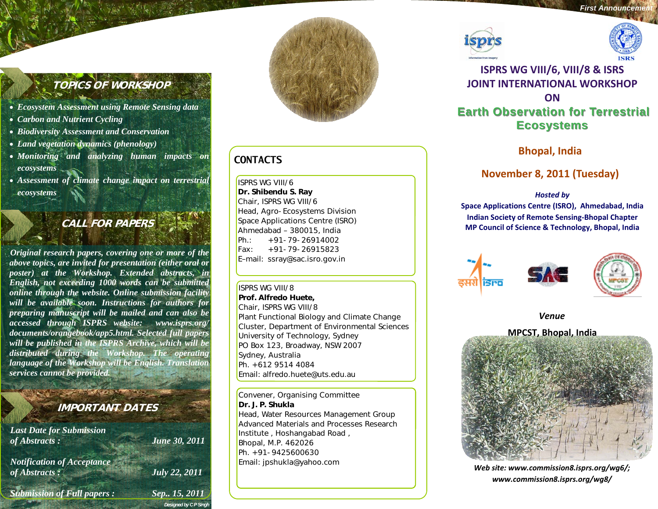# **TOPICS OF WORKSHOP**

- *Ecosystem Assessment using Remote Sensing data*
- *Carbon and Nutrient Cycling*
- *Biodiversity Assessment and Conservation*
- *Land vegetation dynamics (phenology)*
- *Monitoring and analyzing human impacts on ecosystems*
- *Assessment of climate change impact on terrestrial ecosystems*

# **CALL FOR PAPERS**

*Original research papers, covering one or more of the above topics, are invited for presentation (either oral or poster) at the Workshop. Extended abstracts, in English, not exceeding 1000 words can be submitted online through the website. Online submission facility will be available soon. Instructions for authors for preparing manuscript will be mailed and can also be accessed through ISPRS website: www.isprs.org/ documents/orangebook/app5.html. Selected full papers will be published in the ISPRS Archive, which will be distributed during the Workshop. The operating language of the Workshop will be English. Translation services cannot be provided.* 

# **IMPORTANT DATES**

*Designed by C P Singh* 

*Last Date for Submission of Abstracts : June 30, 2011 Notification of Acceptance of Abstracts : July 22, 2011 Submission of Full papers : Sep.. 15, 2011* 



# **CONTACTS**

ISPRS WG VIII/6 **Dr. Shibendu S. Ray**  Chair, ISPRS WG VIII/6 Head, Agro-Ecosystems Division Space Applications Centre (ISRO) Ahmedabad – 380015, India Ph.: +91-79-26914002 Fax: +91-79-26915823 E–mail: ssray@sac.isro.gov.in

ISPRS WG VIII/8 **Prof. Alfredo Huete,**  Chair, ISPRS WG VIII/8 Plant Functional Biology and Climate Change Cluster, Department of Environmental Sciences University of Technology, Sydney PO Box 123, Broadway, NSW 2007 Sydney, Australia Ph. +612 9514 4084 Email: alfredo.huete@uts.edu.au

Convener, Organising Committee **Dr. J. P. Shukla**Head, Water Resources Management Group Advanced Materials and Processes Research Institute , Hoshangabad Road , Bhopal, M.P. 462026 Ph. +91-9425600630Email: jpshukla@yahoo.com





# **ISPRS WG VIII/6, VIII/8 & ISRS JOINT INTERNATIONAL WORKSHOPONEarth Observation for Terrestrial Earth Observation for Terrestrial Ecosystems Ecosystems**

**Bhopal, India**

# **November 8, 2011 (Tuesday)**

## *Hosted by*

**Space Applications Centre (ISRO), Ahmedabad, India Indian Society of Remote Sensing‐Bhopal Chapter MP Council of Science & Technology, Bhopal, India**





*Venue*



*Web site: www.commission8.isprs.org/wg6/; www.commission8.isprs.org/wg8/*